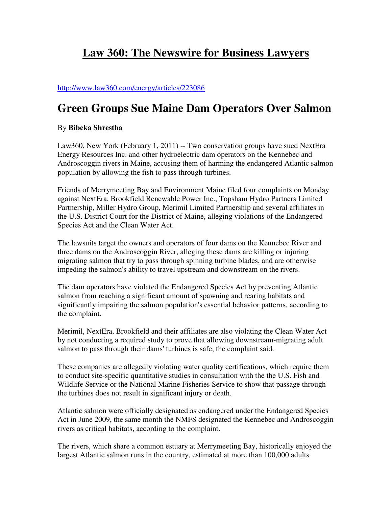## **Law 360: The Newswire for Business Lawyers**

## http://www.law360.com/energy/articles/223086

## **Green Groups Sue Maine Dam Operators Over Salmon**

## By **Bibeka Shrestha**

Law360, New York (February 1, 2011) -- Two conservation groups have sued NextEra Energy Resources Inc. and other hydroelectric dam operators on the Kennebec and Androscoggin rivers in Maine, accusing them of harming the endangered Atlantic salmon population by allowing the fish to pass through turbines.

Friends of Merrymeeting Bay and Environment Maine filed four complaints on Monday against NextEra, Brookfield Renewable Power Inc., Topsham Hydro Partners Limited Partnership, Miller Hydro Group, Merimil Limited Partnership and several affiliates in the U.S. District Court for the District of Maine, alleging violations of the Endangered Species Act and the Clean Water Act.

The lawsuits target the owners and operators of four dams on the Kennebec River and three dams on the Androscoggin River, alleging these dams are killing or injuring migrating salmon that try to pass through spinning turbine blades, and are otherwise impeding the salmon's ability to travel upstream and downstream on the rivers.

The dam operators have violated the Endangered Species Act by preventing Atlantic salmon from reaching a significant amount of spawning and rearing habitats and significantly impairing the salmon population's essential behavior patterns, according to the complaint.

Merimil, NextEra, Brookfield and their affiliates are also violating the Clean Water Act by not conducting a required study to prove that allowing downstream-migrating adult salmon to pass through their dams' turbines is safe, the complaint said.

These companies are allegedly violating water quality certifications, which require them to conduct site-specific quantitative studies in consultation with the the U.S. Fish and Wildlife Service or the National Marine Fisheries Service to show that passage through the turbines does not result in significant injury or death.

Atlantic salmon were officially designated as endangered under the Endangered Species Act in June 2009, the same month the NMFS designated the Kennebec and Androscoggin rivers as critical habitats, according to the complaint.

The rivers, which share a common estuary at Merrymeeting Bay, historically enjoyed the largest Atlantic salmon runs in the country, estimated at more than 100,000 adults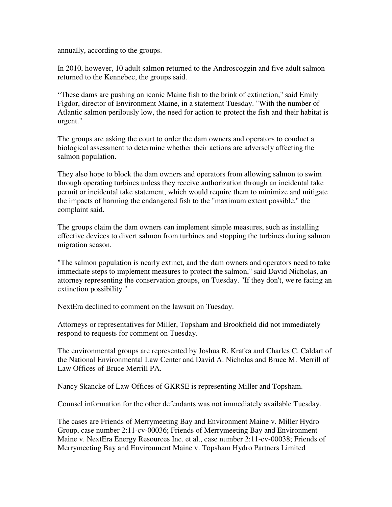annually, according to the groups.

In 2010, however, 10 adult salmon returned to the Androscoggin and five adult salmon returned to the Kennebec, the groups said.

"These dams are pushing an iconic Maine fish to the brink of extinction," said Emily Figdor, director of Environment Maine, in a statement Tuesday. "With the number of Atlantic salmon perilously low, the need for action to protect the fish and their habitat is urgent."

The groups are asking the court to order the dam owners and operators to conduct a biological assessment to determine whether their actions are adversely affecting the salmon population.

They also hope to block the dam owners and operators from allowing salmon to swim through operating turbines unless they receive authorization through an incidental take permit or incidental take statement, which would require them to minimize and mitigate the impacts of harming the endangered fish to the "maximum extent possible," the complaint said.

The groups claim the dam owners can implement simple measures, such as installing effective devices to divert salmon from turbines and stopping the turbines during salmon migration season.

"The salmon population is nearly extinct, and the dam owners and operators need to take immediate steps to implement measures to protect the salmon," said David Nicholas, an attorney representing the conservation groups, on Tuesday. "If they don't, we're facing an extinction possibility."

NextEra declined to comment on the lawsuit on Tuesday.

Attorneys or representatives for Miller, Topsham and Brookfield did not immediately respond to requests for comment on Tuesday.

The environmental groups are represented by Joshua R. Kratka and Charles C. Caldart of the National Environmental Law Center and David A. Nicholas and Bruce M. Merrill of Law Offices of Bruce Merrill PA.

Nancy Skancke of Law Offices of GKRSE is representing Miller and Topsham.

Counsel information for the other defendants was not immediately available Tuesday.

The cases are Friends of Merrymeeting Bay and Environment Maine v. Miller Hydro Group, case number 2:11-cv-00036; Friends of Merrymeeting Bay and Environment Maine v. NextEra Energy Resources Inc. et al., case number 2:11-cv-00038; Friends of Merrymeeting Bay and Environment Maine v. Topsham Hydro Partners Limited